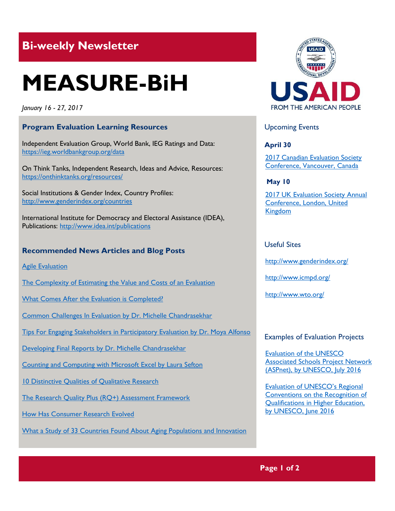# **Bi-weekly Newsletter**

# **MEASURE-BiH**

*January 16 - 27, 2017*

# **Program Evaluation Learning Resources**

Independent Evaluation Group, World Bank, IEG Ratings and Data: https://ieg.worldbankgroup.org/data

On Think Tanks, Independent Research, Ideas and Advice, Resources: <https://onthinktanks.org/resources/>

Social Institutions & Gender Index, Country Profiles: http://www.genderindex.org/countries

International Institute for Democracy and Electoral Assistance (IDEA), Publications:<http://www.idea.int/publications>

# **Recommended News Articles and Blog Posts**

**[Agile Evaluation](https://ieg.worldbankgroup.org/blog/agile-evaluation)** 

[The Complexity of Estimating the Value and Costs of an Evaluation](https://ieg.worldbankgroup.org/blog/complexity-estimating-value-and-costs-evaluation)

[What Comes After the Evaluation is Completed?](https://ieg.worldbankgroup.org/blog/what-comes-after-evaluation-completed)

[Common Challenges In Evaluation by Dr. Michelle Chandrasekhar](http://aea365.org/blog/sea-professional-development-week-common-challenges-in-evaluation-by-dr-michelle-chandrasekhar/?utm_source=feedburner&utm_medium=feed&utm_campaign=Feed%3A+aea365+%28AEA365%29)

[Tips For Engaging Stakeholders in Participatory Evaluation by Dr. Moya Alfonso](http://aea365.org/blog/sea-professional-development-week-tips-for-engaging-stakeholders-in-participatory-evaluation-by-dr-moya-alfonso/?utm_source=feedburner&utm_medium=feed&utm_campaign=Feed%3A+aea365+%28AEA365%29)

[Developing Final Reports by Dr. Michelle Chandrasekhar](http://aea365.org/blog/sea-professional-development-week-tips-for-engaging-stakeholders-in-participatory-evaluation-by-dr-moya-alfonso/?utm_source=feedburner&utm_medium=feed&utm_campaign=Feed%3A+aea365+%28AEA365%29)

[Counting and Computing with Microsoft Excel by Laura Sefton](http://aea365.org/blog/counting-and-computing-with-microsoft-excel-by-laura-sefton/?utm_source=feedburner&utm_medium=feed&utm_campaign=Feed%3A+aea365+%28AEA365%29)

[10 Distinctive Qualities of Qualitative Research](https://evalcentral.com/10-distinctive-qualities-of-qualitative-research-41645056d385#.inemh9f4k)

[The Research Quality Plus \(RQ+\) Assessment Framework](https://onthinktanks.org/articles/the-research-quality-plus-rq-assessment-framework/)

[How Has Consumer Research Evolved](https://medium.com/@emotivebrand/how-is-consumer-research-evolved-e75967f2b015#.6kw3lqgrh)

[What a Study of 33 Countries Found About Aging Populations and Innovation](https://hbr.org/2017/01/what-a-study-of-33-countries-found-about-aging-populations-and-innovation)



# Upcoming Events

**April 30**

[2017 Canadian Evaluation Society](http://mande.co.uk/conferences/?event_id1=29)  [Conference, Vancouver, Canada](http://mande.co.uk/conferences/?event_id1=29)

**May 10**

2017 UK Evaluation Society Annual [Conference, London, United](http://mande.co.uk/conferences/?event_id1=30)  [Kingdom](http://mande.co.uk/conferences/?event_id1=30)

# Useful Sites

<http://www.genderindex.org/>

<http://www.icmpd.org/>

<http://www.wto.org/>

#### Examples of Evaluation Projects

[Evaluation of the UNESCO](http://unesdoc.unesco.org/images/0024/002454/245418E.pdf)  [Associated Schools Project Network](http://unesdoc.unesco.org/images/0024/002454/245418E.pdf)  [\(ASPnet\), by UNESCO, July 2016](http://unesdoc.unesco.org/images/0024/002454/245418E.pdf)

Ev[aluation of UNESCO's Regional](http://unesdoc.unesco.org/images/0024/002452/245223E.pdf)  [Conventions on the Recognition of](http://unesdoc.unesco.org/images/0024/002452/245223E.pdf)  [Qualifications in Higher Education,](http://unesdoc.unesco.org/images/0024/002452/245223E.pdf)  [by UNESCO, June 2016](http://unesdoc.unesco.org/images/0024/002452/245223E.pdf)

# **Page 1 of 2**